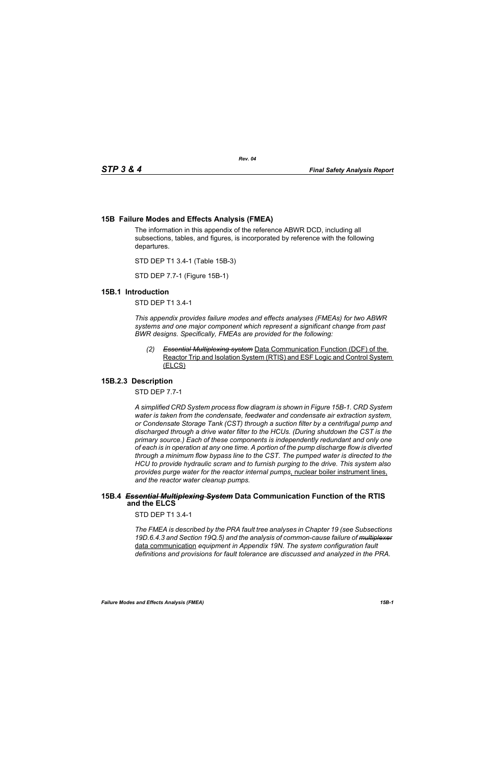# **15B Failure Modes and Effects Analysis (FMEA)**

The information in this appendix of the reference ABWR DCD, including all subsections, tables, and figures, is incorporated by reference with the following departures.

STD DEP T1 3.4-1 (Table 15B-3)

STD DEP 7.7-1 (Figure 15B-1)

### **15B.1 Introduction**

STD DEP T1 3.4-1

*This appendix provides failure modes and effects analyses (FMEAs) for two ABWR systems and one major component which represent a significant change from past BWR designs. Specifically, FMEAs are provided for the following:*

*(2) Essential Multiplexing system* Data Communication Function (DCF) of the Reactor Trip and Isolation System (RTIS) and ESF Logic and Control System (ELCS)

# **15B.2.3 Description**

STD DEP 7.7-1

*A simplified CRD System process flow diagram is shown in Figure [15B-1.](#page-2-0) CRD System water is taken from the condensate, feedwater and condensate air extraction system, or Condensate Storage Tank (CST) through a suction filter by a centrifugal pump and discharged through a drive water filter to the HCUs. (During shutdown the CST is the primary source.) Each of these components is independently redundant and only one of each is in operation at any one time. A portion of the pump discharge flow is diverted through a minimum flow bypass line to the CST. The pumped water is directed to the HCU to provide hydraulic scram and to furnish purging to the drive. This system also provides purge water for the reactor internal pumps*, nuclear boiler instrument lines, *and the reactor water cleanup pumps.*

#### **15B.4** *Essential Multiplexing System* **Data Communication Function of the RTIS and the ELCS**

STD DEP T1 3.4-1

*The FMEA is described by the PRA fault tree analyses in Chapter 19 (see Subsections 19D.6.4.3 and Section 19Q.5) and the analysis of common-cause failure of multiplexer* data communication *equipment in Appendix 19N. The system configuration fault definitions and provisions for fault tolerance are discussed and analyzed in the PRA.*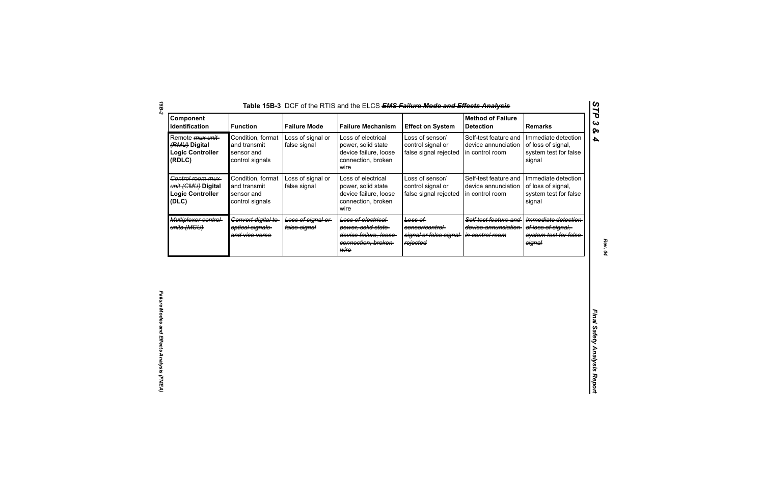| Component<br>Identification                                                    | <b>Function</b>                                                    | <b>Failure Mode</b>               | <b>Failure Mechanism</b>                                                                         | <b>Effect on System</b>                                           | <b>Method of Failure</b><br><b>Detection</b>                    | <b>Remarks</b>                                                                |
|--------------------------------------------------------------------------------|--------------------------------------------------------------------|-----------------------------------|--------------------------------------------------------------------------------------------------|-------------------------------------------------------------------|-----------------------------------------------------------------|-------------------------------------------------------------------------------|
| Remote <i>mux unit</i> -<br>(RMU) Digital<br><b>Logic Controller</b><br>(RDLC) | Condition, format<br>and transmit<br>sensor and<br>control signals | Loss of signal or<br>false signal | Loss of electrical<br>power, solid state<br>device failure, loose<br>connection, broken<br>wire  | Loss of sensor/<br>control signal or<br>false signal rejected     | Self-test feature and<br>device annunciation<br>in control room | Immediate detection<br>of loss of signal,<br>system test for false<br>signal  |
| Control room mux-<br>unit (CMU) Digital<br><b>Logic Controller</b><br>(DLC)    | Condition, format<br>and transmit<br>sensor and<br>control signals | Loss of signal or<br>false signal | Loss of electrical<br>power, solid state<br>device failure, loose<br>connection, broken<br>wire  | Loss of sensor/<br>control signal or<br>false signal rejected     | Self-test feature and<br>device annunciation<br>in control room | Immediate detection<br>of loss of signal,<br>system test for false<br>signal  |
| Multiplexer control-<br>units (MGU)                                            | Convert digital to<br>optical signals<br>and vice versa            | Loss of signal or<br>false signal | Loss of electrical<br>power, solid state<br>device failure, loose<br>connection, broken-<br>wire | Loss of<br>sensor/control-<br>signal or false signal-<br>rejected | Self test feature and<br>device annunciation<br>in control room | Immediate detection<br>of loss of signal.<br>system test for false-<br>signal |
|                                                                                |                                                                    |                                   |                                                                                                  |                                                                   |                                                                 |                                                                               |
|                                                                                |                                                                    |                                   |                                                                                                  |                                                                   |                                                                 |                                                                               |
|                                                                                |                                                                    |                                   |                                                                                                  |                                                                   |                                                                 |                                                                               |
|                                                                                |                                                                    |                                   |                                                                                                  |                                                                   |                                                                 |                                                                               |

*15B-2*